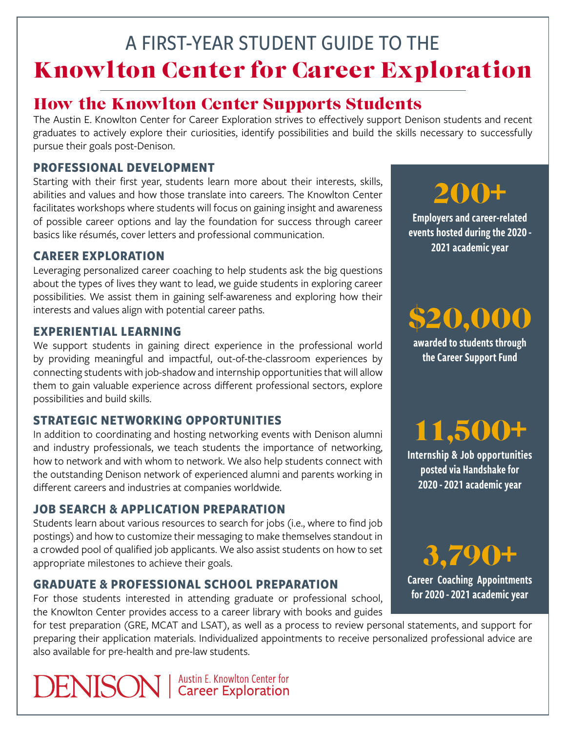## A FIRST-YEAR STUDENT GUIDE TO THE Knowlton Center for Career Exploration

### How the Knowlton Center Supports Students

The Austin E. Knowlton Center for Career Exploration strives to effectively support Denison students and recent graduates to actively explore their curiosities, identify possibilities and build the skills necessary to successfully pursue their goals post-Denison.

#### **PROFESSIONAL DEVELOPMENT**

Starting with their first year, students learn more about their interests, skills, abilities and values and how those translate into careers. The Knowlton Center facilitates workshops where students will focus on gaining insight and awareness of possible career options and lay the foundation for success through career basics like résumés, cover letters and professional communication.

#### **CAREER EXPLORATION**

Leveraging personalized career coaching to help students ask the big questions about the types of lives they want to lead, we guide students in exploring career possibilities. We assist them in gaining self-awareness and exploring how their interests and values align with potential career paths.

#### **EXPERIENTIAL LEARNING**

We support students in gaining direct experience in the professional world by providing meaningful and impactful, out-of-the-classroom experiences by connecting students with job-shadow and internship opportunities that will allow them to gain valuable experience across different professional sectors, explore possibilities and build skills.

#### **STRATEGIC NETWORKING OPPORTUNITIES**

In addition to coordinating and hosting networking events with Denison alumni and industry professionals, we teach students the importance of networking, how to network and with whom to network. We also help students connect with the outstanding Denison network of experienced alumni and parents working in different careers and industries at companies worldwide.

#### **JOB SEARCH & APPLICATION PREPARATION**

Students learn about various resources to search for jobs (i.e., where to find job postings) and how to customize their messaging to make themselves standout in a crowded pool of qualified job applicants. We also assist students on how to set appropriate milestones to achieve their goals.

#### **GRADUATE & PROFESSIONAL SCHOOL PREPARATION**

For those students interested in attending graduate or professional school, the Knowlton Center provides access to a career library with books and guides

for test preparation (GRE, MCAT and LSAT), as well as a process to review personal statements, and support for preparing their application materials. Individualized appointments to receive personalized professional advice are also available for pre-health and pre-law students.

**DENISON** | Austin E. Knowlton Center for

200+

Employers and career-related events hosted during the 2020 - 2021 academic year

\$20,000 awarded to students through

the Career Support Fund

11,500+

Internship & Job opportunities posted via Handshake for 2020 - 2021 academic year

3,790+ Career Coaching Appointments for 2020 - 2021 academic year